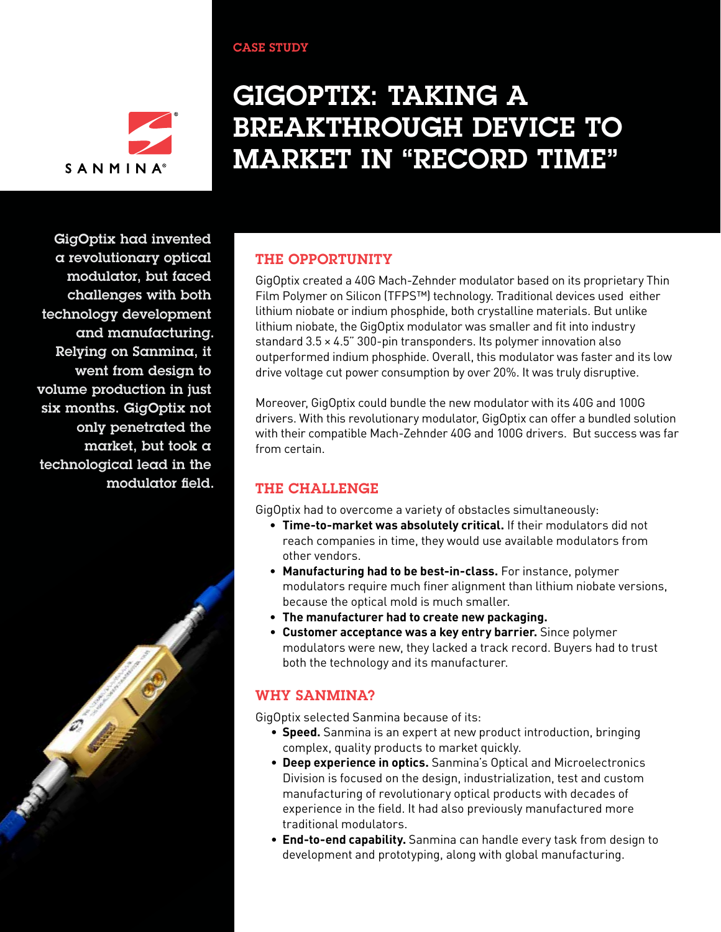

# GigOptix: Taking a breakthrough device to market in "record time"

GigOptix had invented a revolutionary optical modulator, but faced challenges with both technology development and manufacturing. Relying on Sanmina, it went from design to volume production in just six months. GigOptix not only penetrated the market, but took a technological lead in the modulator field.



## THE OPPORTUNITY

CASE STUDY

GigOptix created a 40G Mach-Zehnder modulator based on its proprietary Thin Film Polymer on Silicon (TFPS™) technology. Traditional devices used either lithium niobate or indium phosphide, both crystalline materials. But unlike lithium niobate, the GigOptix modulator was smaller and fit into industry standard 3.5 × 4.5" 300-pin transponders. Its polymer innovation also outperformed indium phosphide. Overall, this modulator was faster and its low drive voltage cut power consumption by over 20%. It was truly disruptive.

Moreover, GigOptix could bundle the new modulator with its 40G and 100G drivers. With this revolutionary modulator, GigOptix can offer a bundled solution with their compatible Mach-Zehnder 40G and 100G drivers. But success was far from certain.

## The challenge

GigOptix had to overcome a variety of obstacles simultaneously:

- **Time-to-market was absolutely critical.** If their modulators did not reach companies in time, they would use available modulators from other vendors.
- **Manufacturing had to be best-in-class.** For instance, polymer modulators require much finer alignment than lithium niobate versions, because the optical mold is much smaller.
- **The manufacturer had to create new packaging.**
- **Customer acceptance was a key entry barrier.** Since polymer modulators were new, they lacked a track record. Buyers had to trust both the technology and its manufacturer.

## Why Sanmina?

GigOptix selected Sanmina because of its:

- **Speed.** Sanmina is an expert at new product introduction, bringing complex, quality products to market quickly.
- **Deep experience in optics.** Sanmina's Optical and Microelectronics Division is focused on the design, industrialization, test and custom manufacturing of revolutionary optical products with decades of experience in the field. It had also previously manufactured more traditional modulators.
- **End-to-end capability.** Sanmina can handle every task from design to development and prototyping, along with global manufacturing.